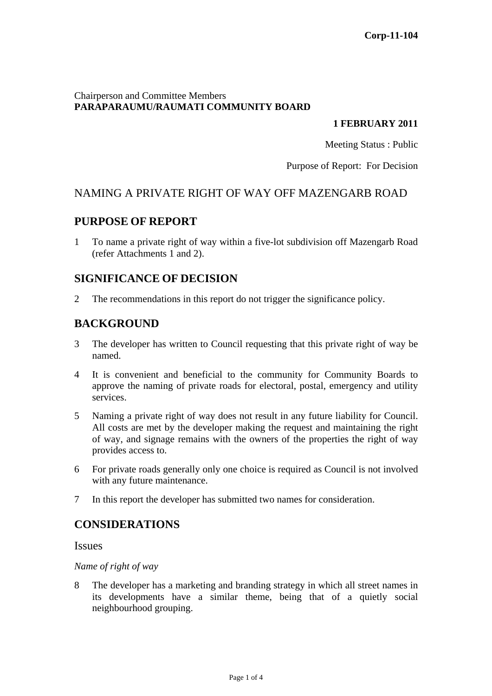### Chairperson and Committee Members **PARAPARAUMU/RAUMATI COMMUNITY BOARD**

### **1 FEBRUARY 2011**

Meeting Status : Public

Purpose of Report: For Decision

## NAMING A PRIVATE RIGHT OF WAY OFF MAZENGARB ROAD

## **PURPOSE OF REPORT**

1 To name a private right of way within a five-lot subdivision off Mazengarb Road (refer Attachments 1 and 2).

## **SIGNIFICANCE OF DECISION**

2 The recommendations in this report do not trigger the significance policy.

# **BACKGROUND**

- 3 The developer has written to Council requesting that this private right of way be named.
- 4 It is convenient and beneficial to the community for Community Boards to approve the naming of private roads for electoral, postal, emergency and utility services.
- 5 Naming a private right of way does not result in any future liability for Council. All costs are met by the developer making the request and maintaining the right of way, and signage remains with the owners of the properties the right of way provides access to.
- 6 For private roads generally only one choice is required as Council is not involved with any future maintenance.
- 7 In this report the developer has submitted two names for consideration.

## **CONSIDERATIONS**

## Issues

#### *Name of right of way*

8 The developer has a marketing and branding strategy in which all street names in its developments have a similar theme, being that of a quietly social neighbourhood grouping.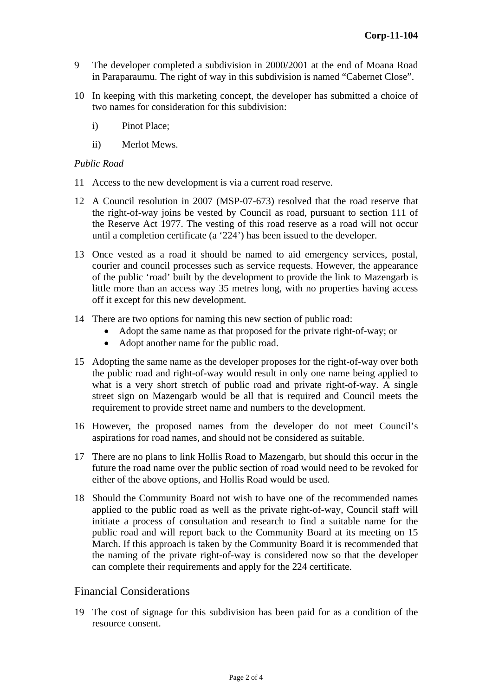- 9 The developer completed a subdivision in 2000/2001 at the end of Moana Road in Paraparaumu. The right of way in this subdivision is named "Cabernet Close".
- 10 In keeping with this marketing concept, the developer has submitted a choice of two names for consideration for this subdivision:
	- i) Pinot Place;
	- ii) Merlot Mews.

#### *Public Road*

- 11 Access to the new development is via a current road reserve.
- 12 A Council resolution in 2007 (MSP-07-673) resolved that the road reserve that the right-of-way joins be vested by Council as road, pursuant to section 111 of the Reserve Act 1977. The vesting of this road reserve as a road will not occur until a completion certificate (a '224') has been issued to the developer.
- 13 Once vested as a road it should be named to aid emergency services, postal, courier and council processes such as service requests. However, the appearance of the public 'road' built by the development to provide the link to Mazengarb is little more than an access way 35 metres long, with no properties having access off it except for this new development.
- 14 There are two options for naming this new section of public road:
	- Adopt the same name as that proposed for the private right-of-way; or
	- Adopt another name for the public road.
- 15 Adopting the same name as the developer proposes for the right-of-way over both the public road and right-of-way would result in only one name being applied to what is a very short stretch of public road and private right-of-way. A single street sign on Mazengarb would be all that is required and Council meets the requirement to provide street name and numbers to the development.
- 16 However, the proposed names from the developer do not meet Council's aspirations for road names, and should not be considered as suitable.
- 17 There are no plans to link Hollis Road to Mazengarb, but should this occur in the future the road name over the public section of road would need to be revoked for either of the above options, and Hollis Road would be used.
- 18 Should the Community Board not wish to have one of the recommended names applied to the public road as well as the private right-of-way, Council staff will initiate a process of consultation and research to find a suitable name for the public road and will report back to the Community Board at its meeting on 15 March. If this approach is taken by the Community Board it is recommended that the naming of the private right-of-way is considered now so that the developer can complete their requirements and apply for the 224 certificate.

## Financial Considerations

19 The cost of signage for this subdivision has been paid for as a condition of the resource consent.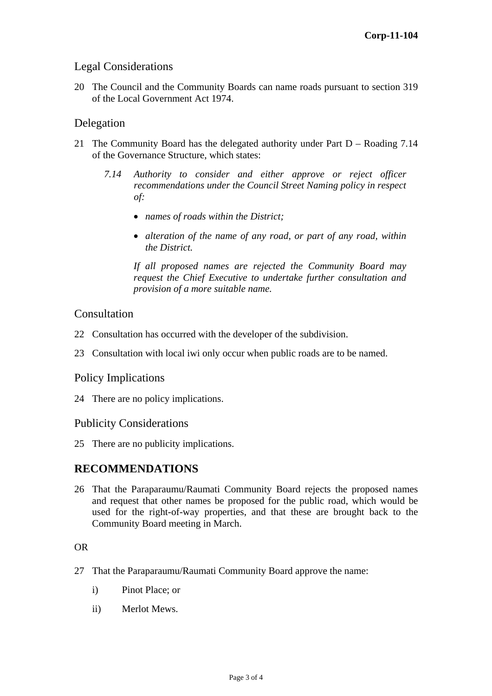## Legal Considerations

20 The Council and the Community Boards can name roads pursuant to section 319 of the Local Government Act 1974.

## Delegation

- 21 The Community Board has the delegated authority under Part D Roading 7.14 of the Governance Structure, which states:
	- *7.14 Authority to consider and either approve or reject officer recommendations under the Council Street Naming policy in respect of:*
		- *names of roads within the District;*
		- *alteration of the name of any road, or part of any road, within the District.*

*If all proposed names are rejected the Community Board may request the Chief Executive to undertake further consultation and provision of a more suitable name.* 

### **Consultation**

- 22 Consultation has occurred with the developer of the subdivision.
- 23 Consultation with local iwi only occur when public roads are to be named.

## Policy Implications

24 There are no policy implications.

## Publicity Considerations

25 There are no publicity implications.

## **RECOMMENDATIONS**

26 That the Paraparaumu/Raumati Community Board rejects the proposed names and request that other names be proposed for the public road, which would be used for the right-of-way properties, and that these are brought back to the Community Board meeting in March.

#### OR

- 27 That the Paraparaumu/Raumati Community Board approve the name:
	- i) Pinot Place; or
	- ii) Merlot Mews.